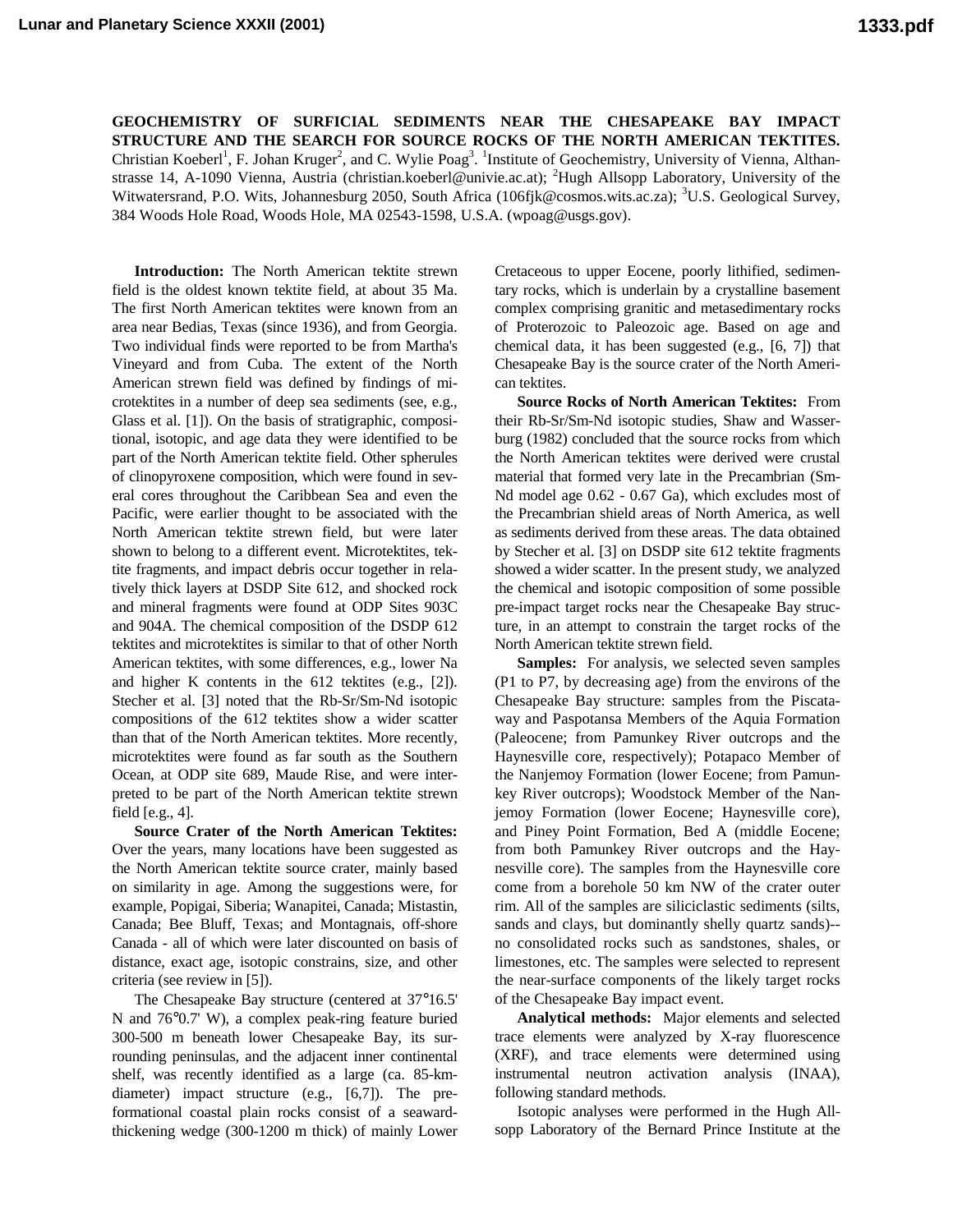**GEOCHEMISTRY OF SURFICIAL SEDIMENTS NEAR THE CHESAPEAKE BAY IMPACT STRUCTURE AND THE SEARCH FOR SOURCE ROCKS OF THE NORTH AMERICAN TEKTITES.** Christian Koeberl<sup>1</sup>, F. Johan Kruger<sup>2</sup>, and C. Wylie Poag<sup>3</sup>. <sup>1</sup>Institute of Geochemistry, University of Vienna, Althanstrasse 14, A-1090 Vienna, Austria (christian.koeberl@univie.ac.at); <sup>2</sup>Hugh Allsopp Laboratory, University of the Witwatersrand, P.O. Wits, Johannesburg 2050, South Africa (106fjk@cosmos.wits.ac.za); <sup>3</sup>U.S. Geological Survey, 384 Woods Hole Road, Woods Hole, MA 02543-1598, U.S.A. (wpoag@usgs.gov).

**Introduction:** The North American tektite strewn field is the oldest known tektite field, at about 35 Ma. The first North American tektites were known from an area near Bedias, Texas (since 1936), and from Georgia. Two individual finds were reported to be from Martha's Vineyard and from Cuba. The extent of the North American strewn field was defined by findings of microtektites in a number of deep sea sediments (see, e.g., Glass et al. [1]). On the basis of stratigraphic, compositional, isotopic, and age data they were identified to be part of the North American tektite field. Other spherules of clinopyroxene composition, which were found in several cores throughout the Caribbean Sea and even the Pacific, were earlier thought to be associated with the North American tektite strewn field, but were later shown to belong to a different event. Microtektites, tektite fragments, and impact debris occur together in relatively thick layers at DSDP Site 612, and shocked rock and mineral fragments were found at ODP Sites 903C and 904A. The chemical composition of the DSDP 612 tektites and microtektites is similar to that of other North American tektites, with some differences, e.g., lower Na and higher K contents in the 612 tektites (e.g., [2]). Stecher et al. [3] noted that the Rb-Sr/Sm-Nd isotopic compositions of the 612 tektites show a wider scatter than that of the North American tektites. More recently, microtektites were found as far south as the Southern Ocean, at ODP site 689, Maude Rise, and were interpreted to be part of the North American tektite strewn field [e.g., 4].

**Source Crater of the North American Tektites:** Over the years, many locations have been suggested as the North American tektite source crater, mainly based on similarity in age. Among the suggestions were, for example, Popigai, Siberia; Wanapitei, Canada; Mistastin, Canada; Bee Bluff, Texas; and Montagnais, off-shore Canada - all of which were later discounted on basis of distance, exact age, isotopic constrains, size, and other criteria (see review in [5]).

The Chesapeake Bay structure (centered at 37°16.5' N and 76°0.7' W), a complex peak-ring feature buried 300-500 m beneath lower Chesapeake Bay, its surrounding peninsulas, and the adjacent inner continental shelf, was recently identified as a large (ca. 85-kmdiameter) impact structure (e.g., [6,7]). The preformational coastal plain rocks consist of a seawardthickening wedge (300-1200 m thick) of mainly Lower Cretaceous to upper Eocene, poorly lithified, sedimentary rocks, which is underlain by a crystalline basement complex comprising granitic and metasedimentary rocks of Proterozoic to Paleozoic age. Based on age and chemical data, it has been suggested (e.g., [6, 7]) that Chesapeake Bay is the source crater of the North American tektites.

**Source Rocks of North American Tektites:** From their Rb-Sr/Sm-Nd isotopic studies, Shaw and Wasserburg (1982) concluded that the source rocks from which the North American tektites were derived were crustal material that formed very late in the Precambrian (Sm-Nd model age 0.62 - 0.67 Ga), which excludes most of the Precambrian shield areas of North America, as well as sediments derived from these areas. The data obtained by Stecher et al. [3] on DSDP site 612 tektite fragments showed a wider scatter. In the present study, we analyzed the chemical and isotopic composition of some possible pre-impact target rocks near the Chesapeake Bay structure, in an attempt to constrain the target rocks of the North American tektite strewn field.

**Samples:** For analysis, we selected seven samples (P1 to P7, by decreasing age) from the environs of the Chesapeake Bay structure: samples from the Piscataway and Paspotansa Members of the Aquia Formation (Paleocene; from Pamunkey River outcrops and the Haynesville core, respectively); Potapaco Member of the Nanjemoy Formation (lower Eocene; from Pamunkey River outcrops); Woodstock Member of the Nanjemoy Formation (lower Eocene; Haynesville core), and Piney Point Formation, Bed A (middle Eocene; from both Pamunkey River outcrops and the Haynesville core). The samples from the Haynesville core come from a borehole 50 km NW of the crater outer rim. All of the samples are siliciclastic sediments (silts, sands and clays, but dominantly shelly quartz sands)- no consolidated rocks such as sandstones, shales, or limestones, etc. The samples were selected to represent the near-surface components of the likely target rocks of the Chesapeake Bay impact event.

**Analytical methods:** Major elements and selected trace elements were analyzed by X-ray fluorescence (XRF), and trace elements were determined using instrumental neutron activation analysis (INAA), following standard methods.

Isotopic analyses were performed in the Hugh Allsopp Laboratory of the Bernard Prince Institute at the